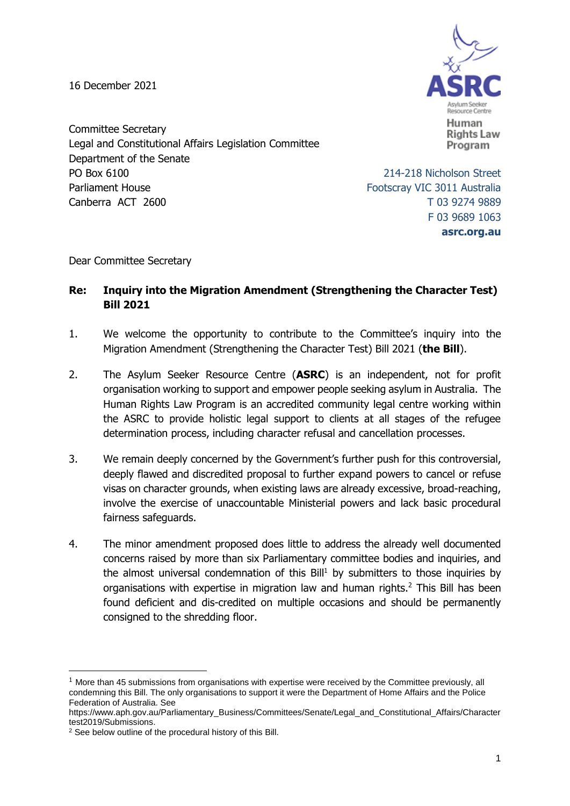16 December 2021



Committee Secretary Legal and Constitutional Affairs Legislation Committee Department of the Senate PO Box 6100 214-218 Nicholson Street Parliament House **Footscray VIC 3011** Australia Canberra ACT 2600 T 03 9274 9889

F 03 9689 1063 **asrc.org.au**

Dear Committee Secretary

### **Re: Inquiry into the Migration Amendment (Strengthening the Character Test) Bill 2021**

- 1. We welcome the opportunity to contribute to the Committee's inquiry into the Migration Amendment (Strengthening the Character Test) Bill 2021 (**the Bill**).
- 2. The Asylum Seeker Resource Centre (**ASRC**) is an independent, not for profit organisation working to support and empower people seeking asylum in Australia. The Human Rights Law Program is an accredited community legal centre working within the ASRC to provide holistic legal support to clients at all stages of the refugee determination process, including character refusal and cancellation processes.
- 3. We remain deeply concerned by the Government's further push for this controversial, deeply flawed and discredited proposal to further expand powers to cancel or refuse visas on character grounds, when existing laws are already excessive, broad-reaching, involve the exercise of unaccountable Ministerial powers and lack basic procedural fairness safeguards.
- 4. The minor amendment proposed does little to address the already well documented concerns raised by more than six Parliamentary committee bodies and inquiries, and the almost universal condemnation of this  $Bill<sup>1</sup>$  by submitters to those inquiries by organisations with expertise in migration law and human rights.<sup>2</sup> This Bill has been found deficient and dis-credited on multiple occasions and should be permanently consigned to the shredding floor.

 $1$  More than 45 submissions from organisations with expertise were received by the Committee previously, all condemning this Bill. The only organisations to support it were the Department of Home Affairs and the Police Federation of Australia. See

https://www.aph.gov.au/Parliamentary\_Business/Committees/Senate/Legal\_and\_Constitutional\_Affairs/Character test2019/Submissions.

<sup>2</sup> See below outline of the procedural history of this Bill.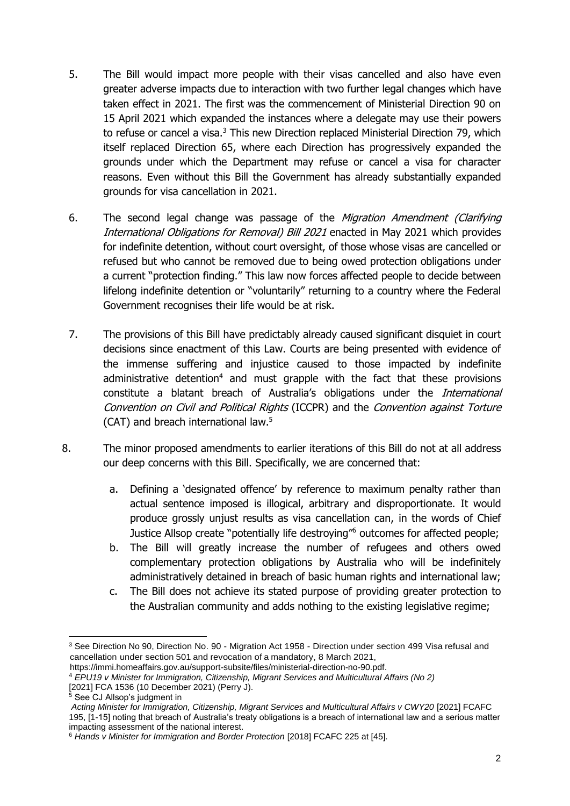- 5. The Bill would impact more people with their visas cancelled and also have even greater adverse impacts due to interaction with two further legal changes which have taken effect in 2021. The first was the commencement of Ministerial Direction 90 on 15 April 2021 which expanded the instances where a delegate may use their powers to refuse or cancel a visa.<sup>3</sup> This new Direction replaced Ministerial Direction 79, which itself replaced Direction 65, where each Direction has progressively expanded the grounds under which the Department may refuse or cancel a visa for character reasons. Even without this Bill the Government has already substantially expanded grounds for visa cancellation in 2021.
- 6. The second legal change was passage of the Migration Amendment (Clarifying International Obligations for Removal) Bill 2021 enacted in May 2021 which provides for indefinite detention, without court oversight, of those whose visas are cancelled or refused but who cannot be removed due to being owed protection obligations under a current "protection finding." This law now forces affected people to decide between lifelong indefinite detention or "voluntarily" returning to a country where the Federal Government recognises their life would be at risk.
- 7. The provisions of this Bill have predictably already caused significant disquiet in court decisions since enactment of this Law. Courts are being presented with evidence of the immense suffering and injustice caused to those impacted by indefinite administrative detention<sup>4</sup> and must grapple with the fact that these provisions constitute a blatant breach of Australia's obligations under the *International* Convention on Civil and Political Rights (ICCPR) and the Convention against Torture (CAT) and breach international law.<sup>5</sup>
- 8. The minor proposed amendments to earlier iterations of this Bill do not at all address our deep concerns with this Bill. Specifically, we are concerned that:
	- a. Defining a 'designated offence' by reference to maximum penalty rather than actual sentence imposed is illogical, arbitrary and disproportionate. It would produce grossly unjust results as visa cancellation can, in the words of Chief Justice Allsop create "potentially life destroying"<sup>6</sup> outcomes for affected people;
	- b. The Bill will greatly increase the number of refugees and others owed complementary protection obligations by Australia who will be indefinitely administratively detained in breach of basic human rights and international law;
	- c. The Bill does not achieve its stated purpose of providing greater protection to the Australian community and adds nothing to the existing legislative regime;

<sup>3</sup> See Direction No 90, Direction No. 90 - Migration Act 1958 - Direction under section 499 Visa refusal and cancellation under section 501 and revocation of a mandatory, 8 March 2021,

https://immi.homeaffairs.gov.au/support-subsite/files/ministerial-direction-no-90.pdf.

<sup>4</sup> *EPU19 v [Minister for Immigration, Citizenship, Migrant Services and Multicultural Affairs \(No 2\)](https://jade.io/article/872272?at.hl=epu)*

<sup>[2021]</sup> FCA 1536 (10 December 2021) (Perry J).

<sup>5</sup> See CJ Allsop's judgment in

*Acting Minister for Immigration, Citizenship, Migrant Services and Multicultural Affairs v CWY20* [2021] FCAFC 195, [1-15] noting that breach of Australia's treaty obligations is a breach of international law and a serious matter impacting assessment of the national interest.

<sup>6</sup> *Hands v Minister for Immigration and Border Protection* [2018] FCAFC 225 at [45].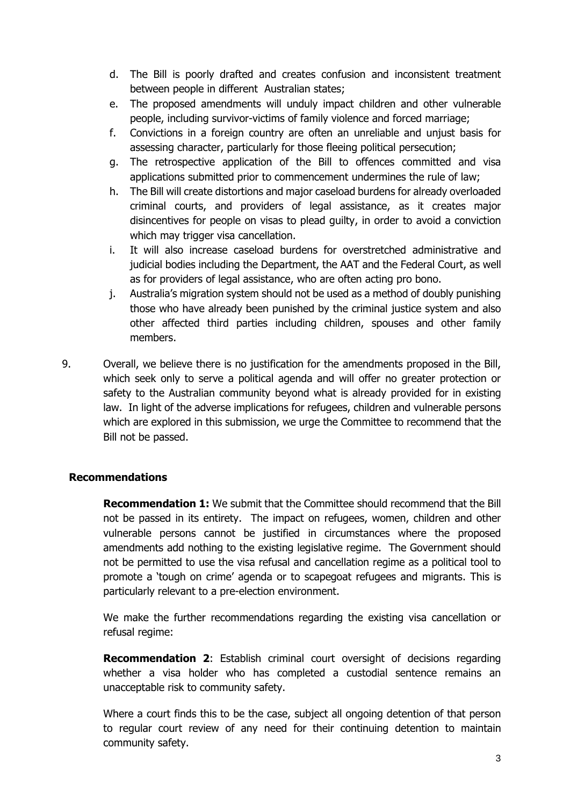- d. The Bill is poorly drafted and creates confusion and inconsistent treatment between people in different Australian states;
- e. The proposed amendments will unduly impact children and other vulnerable people, including survivor-victims of family violence and forced marriage;
- f. Convictions in a foreign country are often an unreliable and unjust basis for assessing character, particularly for those fleeing political persecution;
- g. The retrospective application of the Bill to offences committed and visa applications submitted prior to commencement undermines the rule of law;
- h. The Bill will create distortions and major caseload burdens for already overloaded criminal courts, and providers of legal assistance, as it creates major disincentives for people on visas to plead guilty, in order to avoid a conviction which may trigger visa cancellation.
- i. It will also increase caseload burdens for overstretched administrative and judicial bodies including the Department, the AAT and the Federal Court, as well as for providers of legal assistance, who are often acting pro bono.
- j. Australia's migration system should not be used as a method of doubly punishing those who have already been punished by the criminal justice system and also other affected third parties including children, spouses and other family members.
- 9. Overall, we believe there is no justification for the amendments proposed in the Bill, which seek only to serve a political agenda and will offer no greater protection or safety to the Australian community beyond what is already provided for in existing law. In light of the adverse implications for refugees, children and vulnerable persons which are explored in this submission, we urge the Committee to recommend that the Bill not be passed.

# **Recommendations**

**Recommendation 1:** We submit that the Committee should recommend that the Bill not be passed in its entirety. The impact on refugees, women, children and other vulnerable persons cannot be justified in circumstances where the proposed amendments add nothing to the existing legislative regime. The Government should not be permitted to use the visa refusal and cancellation regime as a political tool to promote a 'tough on crime' agenda or to scapegoat refugees and migrants. This is particularly relevant to a pre-election environment.

We make the further recommendations regarding the existing visa cancellation or refusal regime:

**Recommendation 2**: Establish criminal court oversight of decisions regarding whether a visa holder who has completed a custodial sentence remains an unacceptable risk to community safety.

Where a court finds this to be the case, subject all ongoing detention of that person to regular court review of any need for their continuing detention to maintain community safety.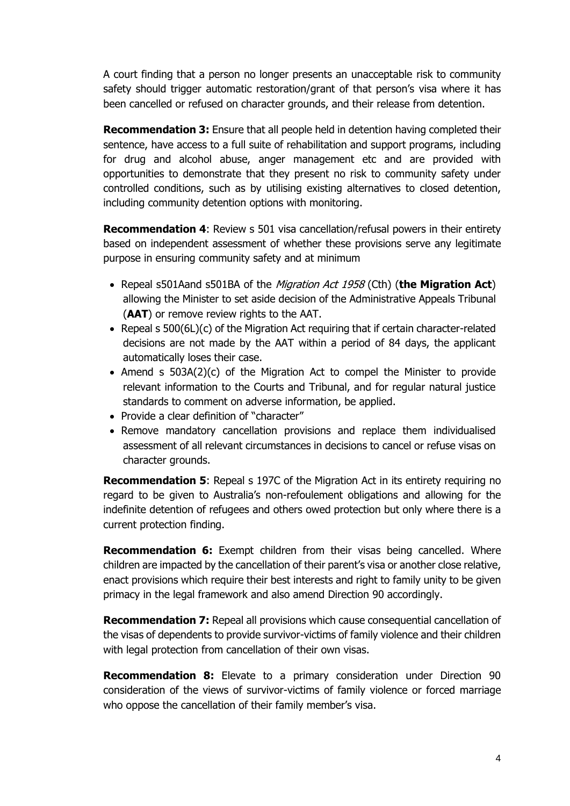A court finding that a person no longer presents an unacceptable risk to community safety should trigger automatic restoration/grant of that person's visa where it has been cancelled or refused on character grounds, and their release from detention.

**Recommendation 3:** Ensure that all people held in detention having completed their sentence, have access to a full suite of rehabilitation and support programs, including for drug and alcohol abuse, anger management etc and are provided with opportunities to demonstrate that they present no risk to community safety under controlled conditions, such as by utilising existing alternatives to closed detention, including community detention options with monitoring.

**Recommendation 4**: Review s 501 visa cancellation/refusal powers in their entirety based on independent assessment of whether these provisions serve any legitimate purpose in ensuring community safety and at minimum

- Repeal s501Aand s501BA of the *Migration Act 1958* (Cth) (**the Migration Act**) allowing the Minister to set aside decision of the Administrative Appeals Tribunal (**AAT**) or remove review rights to the AAT.
- Repeal s 500(6L)(c) of the Migration Act requiring that if certain character-related decisions are not made by the AAT within a period of 84 days, the applicant automatically loses their case.
- Amend s  $503A(2)(c)$  of the Migration Act to compel the Minister to provide relevant information to the Courts and Tribunal, and for regular natural justice standards to comment on adverse information, be applied.
- Provide a clear definition of "character"
- Remove mandatory cancellation provisions and replace them individualised assessment of all relevant circumstances in decisions to cancel or refuse visas on character grounds.

**Recommendation 5:** Repeal s 197C of the Migration Act in its entirety requiring no regard to be given to Australia's non-refoulement obligations and allowing for the indefinite detention of refugees and others owed protection but only where there is a current protection finding.

**Recommendation 6:** Exempt children from their visas being cancelled. Where children are impacted by the cancellation of their parent's visa or another close relative, enact provisions which require their best interests and right to family unity to be given primacy in the legal framework and also amend Direction 90 accordingly.

**Recommendation 7:** Repeal all provisions which cause consequential cancellation of the visas of dependents to provide survivor-victims of family violence and their children with legal protection from cancellation of their own visas.

**Recommendation 8:** Elevate to a primary consideration under Direction 90 consideration of the views of survivor-victims of family violence or forced marriage who oppose the cancellation of their family member's visa.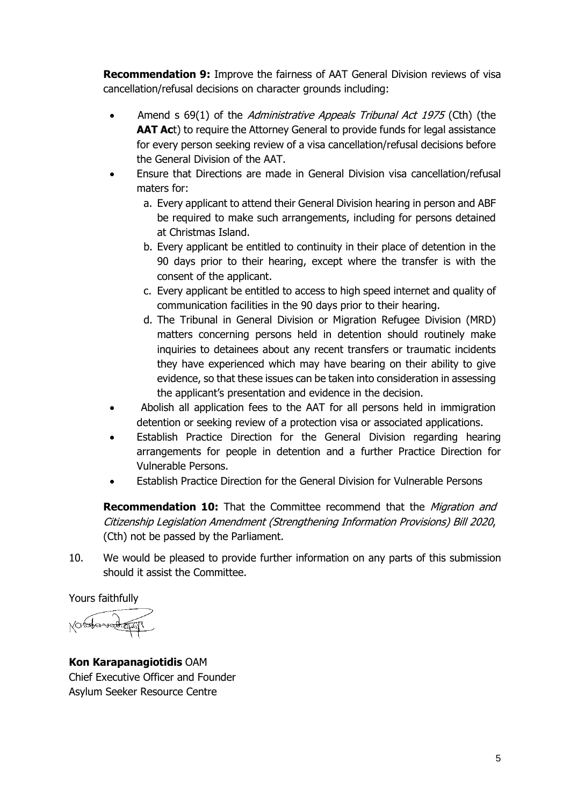**Recommendation 9:** Improve the fairness of AAT General Division reviews of visa cancellation/refusal decisions on character grounds including:

- Amend s 69(1) of the Administrative Appeals Tribunal Act 1975 (Cth) (the **AAT Act)** to require the Attorney General to provide funds for legal assistance for every person seeking review of a visa cancellation/refusal decisions before the General Division of the AAT.
- Ensure that Directions are made in General Division visa cancellation/refusal maters for:
	- a. Every applicant to attend their General Division hearing in person and ABF be required to make such arrangements, including for persons detained at Christmas Island.
	- b. Every applicant be entitled to continuity in their place of detention in the 90 days prior to their hearing, except where the transfer is with the consent of the applicant.
	- c. Every applicant be entitled to access to high speed internet and quality of communication facilities in the 90 days prior to their hearing.
	- d. The Tribunal in General Division or Migration Refugee Division (MRD) matters concerning persons held in detention should routinely make inquiries to detainees about any recent transfers or traumatic incidents they have experienced which may have bearing on their ability to give evidence, so that these issues can be taken into consideration in assessing the applicant's presentation and evidence in the decision.
- Abolish all application fees to the AAT for all persons held in immigration detention or seeking review of a protection visa or associated applications.
- Establish Practice Direction for the General Division regarding hearing arrangements for people in detention and a further Practice Direction for Vulnerable Persons.
- Establish Practice Direction for the General Division for Vulnerable Persons

**Recommendation 10:** That the Committee recommend that the *Migration and* Citizenship Legislation Amendment (Strengthening Information Provisions) Bill 2020, (Cth) not be passed by the Parliament.

10. We would be pleased to provide further information on any parts of this submission should it assist the Committee.

Yours faithfully

**Kon Karapanagiotidis** OAM Chief Executive Officer and Founder Asylum Seeker Resource Centre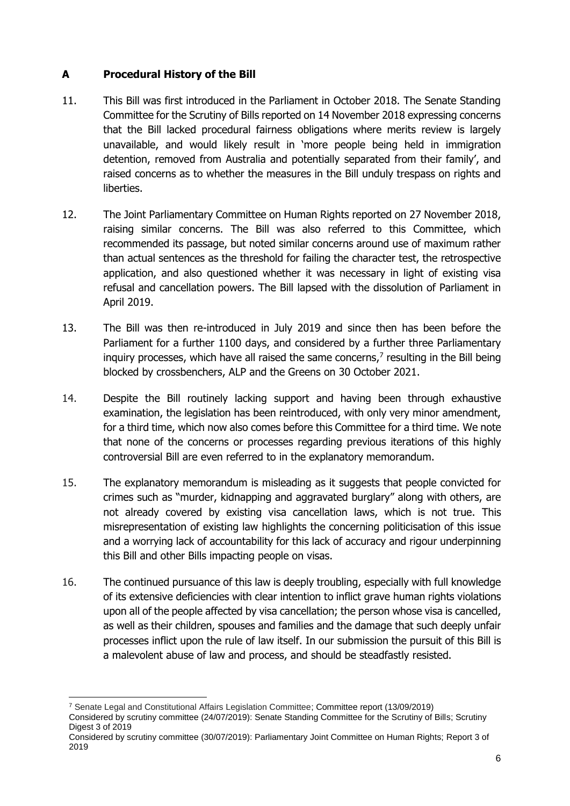# **A Procedural History of the Bill**

- 11. This Bill was first introduced in the Parliament in October 2018. The Senate Standing Committee for the Scrutiny of Bills reported on 14 November 2018 expressing concerns that the Bill lacked procedural fairness obligations where merits review is largely unavailable, and would likely result in 'more people being held in immigration detention, removed from Australia and potentially separated from their family', and raised concerns as to whether the measures in the Bill unduly trespass on rights and liberties.
- 12. The Joint Parliamentary Committee on Human Rights reported on 27 November 2018, raising similar concerns. The Bill was also referred to this Committee, which recommended its passage, but noted similar concerns around use of maximum rather than actual sentences as the threshold for failing the character test, the retrospective application, and also questioned whether it was necessary in light of existing visa refusal and cancellation powers. The Bill lapsed with the dissolution of Parliament in April 2019.
- 13. The Bill was then re-introduced in July 2019 and since then has been before the Parliament for a further 1100 days, and considered by a further three Parliamentary inquiry processes, which have all raised the same concerns, 7 resulting in the Bill being blocked by crossbenchers, ALP and the Greens on 30 October 2021.
- 14. Despite the Bill routinely lacking support and having been through exhaustive examination, the legislation has been reintroduced, with only very minor amendment, for a third time, which now also comes before this Committee for a third time. We note that none of the concerns or processes regarding previous iterations of this highly controversial Bill are even referred to in the explanatory memorandum.
- 15. The explanatory memorandum is misleading as it suggests that people convicted for crimes such as "murder, kidnapping and aggravated burglary" along with others, are not already covered by existing visa cancellation laws, which is not true. This misrepresentation of existing law highlights the concerning politicisation of this issue and a worrying lack of accountability for this lack of accuracy and rigour underpinning this Bill and other Bills impacting people on visas.
- 16. The continued pursuance of this law is deeply troubling, especially with full knowledge of its extensive deficiencies with clear intention to inflict grave human rights violations upon all of the people affected by visa cancellation; the person whose visa is cancelled, as well as their children, spouses and families and the damage that such deeply unfair processes inflict upon the rule of law itself. In our submission the pursuit of this Bill is a malevolent abuse of law and process, and should be steadfastly resisted.

<sup>7</sup> Senate Legal and Constitutional Affairs Legislation Committee; [Committee report \(13/09/2019\)](https://www.aph.gov.au/Parliamentary_Business/Committees/Senate/Legal_and_Constitutional_Affairs/Charactertest2019) Considered by scrutiny committee (24/07/2019): Senate Standing Committee for the Scrutiny of Bills; [Scrutiny](https://www.aph.gov.au/~/media/Committees/Senate/committee/scrutiny/scrutiny_digest/2019/PDF/d03.pdf?la=en)  [Digest 3 of 2019](https://www.aph.gov.au/~/media/Committees/Senate/committee/scrutiny/scrutiny_digest/2019/PDF/d03.pdf?la=en)

Considered by scrutiny committee (30/07/2019): Parliamentary Joint Committee on Human Rights; [Report 3 of](https://www.aph.gov.au/~/media/Committees/Senate/committee/humanrights_ctte/reports/2019/Report%203/Report%203%20of%202019.pdf?la=en)  [2019](https://www.aph.gov.au/~/media/Committees/Senate/committee/humanrights_ctte/reports/2019/Report%203/Report%203%20of%202019.pdf?la=en)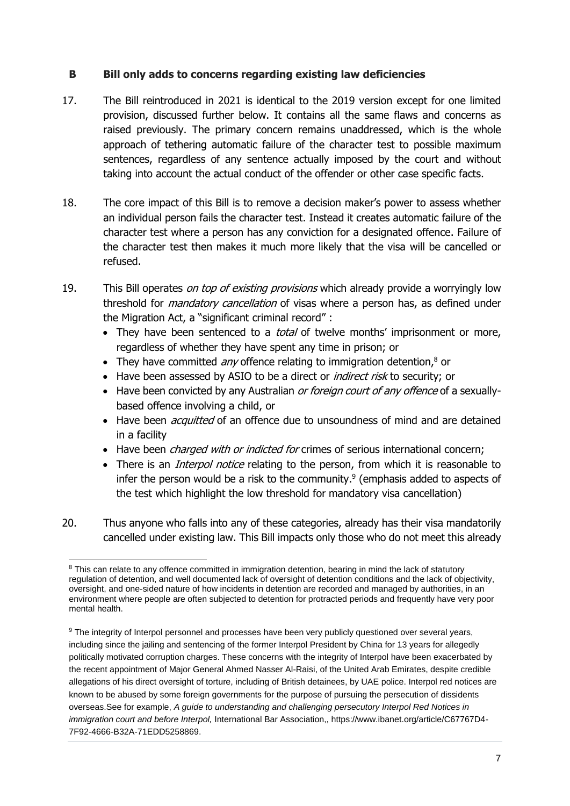### **B Bill only adds to concerns regarding existing law deficiencies**

- 17. The Bill reintroduced in 2021 is identical to the 2019 version except for one limited provision, discussed further below. It contains all the same flaws and concerns as raised previously. The primary concern remains unaddressed, which is the whole approach of tethering automatic failure of the character test to possible maximum sentences, regardless of any sentence actually imposed by the court and without taking into account the actual conduct of the offender or other case specific facts.
- 18. The core impact of this Bill is to remove a decision maker's power to assess whether an individual person fails the character test. Instead it creates automatic failure of the character test where a person has any conviction for a designated offence. Failure of the character test then makes it much more likely that the visa will be cancelled or refused.
- 19. This Bill operates on top of existing provisions which already provide a worryingly low threshold for *mandatory cancellation* of visas where a person has, as defined under the Migration Act, a "significant criminal record" :
	- They have been sentenced to a *total* of twelve months' imprisonment or more, regardless of whether they have spent any time in prison; or
	- They have committed *any* offence relating to immigration detention, $8$  or
	- Have been assessed by ASIO to be a direct or *indirect risk* to security; or
	- Have been convicted by any Australian or foreign court of any offence of a sexuallybased offence involving a child, or
	- Have been *acquitted* of an offence due to unsoundness of mind and are detained in a facility
	- Have been *charged with or indicted for* crimes of serious international concern;
	- There is an *Interpol notice* relating to the person, from which it is reasonable to infer the person would be a risk to the community. 9 (emphasis added to aspects of the test which highlight the low threshold for mandatory visa cancellation)
- 20. Thus anyone who falls into any of these categories, already has their visa mandatorily cancelled under existing law. This Bill impacts only those who do not meet this already

<sup>-</sup><sup>8</sup> This can relate to any offence committed in immigration detention, bearing in mind the lack of statutory regulation of detention, and well documented lack of oversight of detention conditions and the lack of objectivity, oversight, and one-sided nature of how incidents in detention are recorded and managed by authorities, in an environment where people are often subjected to detention for protracted periods and frequently have very poor mental health.

<sup>&</sup>lt;sup>9</sup> The integrity of Interpol personnel and processes have been very publicly questioned over several years, including since the jailing and sentencing of the former Interpol President by China for 13 years for allegedly politically motivated corruption charges. These concerns with the integrity of Interpol have been exacerbated by the recent appointment of Major General Ahmed Nasser Al-Raisi, of the United Arab Emirates, despite credible allegations of his direct oversight of torture, including of British detainees, by UAE police. Interpol red notices are known to be abused by some foreign governments for the purpose of pursuing the persecution of dissidents overseas.See for example, *A guide to understanding and challenging persecutory Interpol Red Notices in immigration court and before Interpol,* International Bar Association,, https://www.ibanet.org/article/C67767D4- 7F92-4666-B32A-71EDD5258869.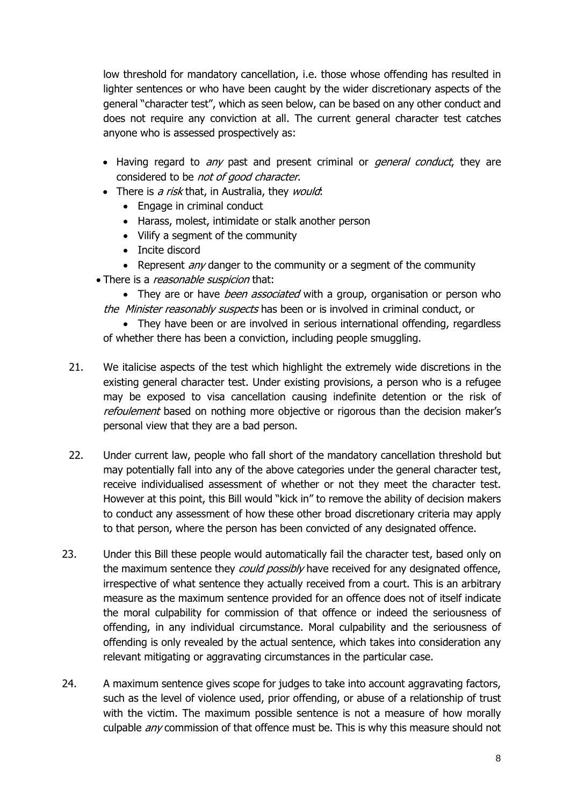low threshold for mandatory cancellation, i.e. those whose offending has resulted in lighter sentences or who have been caught by the wider discretionary aspects of the general "character test", which as seen below, can be based on any other conduct and does not require any conviction at all. The current general character test catches anyone who is assessed prospectively as:

- Having regard to any past and present criminal or *general conduct*, they are considered to be not of good character.
- $\bullet$  There is a risk that, in Australia, they would:
	- Engage in criminal conduct
	- Harass, molest, intimidate or stalk another person
	- Vilify a segment of the community
	- Incite discord
	- Represent *any* danger to the community or a segment of the community
- There is a *reasonable suspicion* that:

• They are or have *been associated* with a group, organisation or person who the Minister reasonably suspects has been or is involved in criminal conduct, or

• They have been or are involved in serious international offending, regardless of whether there has been a conviction, including people smuggling.

- 21. We italicise aspects of the test which highlight the extremely wide discretions in the existing general character test. Under existing provisions, a person who is a refugee may be exposed to visa cancellation causing indefinite detention or the risk of refoulement based on nothing more objective or rigorous than the decision maker's personal view that they are a bad person.
- 22. Under current law, people who fall short of the mandatory cancellation threshold but may potentially fall into any of the above categories under the general character test, receive individualised assessment of whether or not they meet the character test. However at this point, this Bill would "kick in" to remove the ability of decision makers to conduct any assessment of how these other broad discretionary criteria may apply to that person, where the person has been convicted of any designated offence.
- 23. Under this Bill these people would automatically fail the character test, based only on the maximum sentence they *could possibly* have received for any designated offence, irrespective of what sentence they actually received from a court. This is an arbitrary measure as the maximum sentence provided for an offence does not of itself indicate the moral culpability for commission of that offence or indeed the seriousness of offending, in any individual circumstance. Moral culpability and the seriousness of offending is only revealed by the actual sentence, which takes into consideration any relevant mitigating or aggravating circumstances in the particular case.
- 24. A maximum sentence gives scope for judges to take into account aggravating factors, such as the level of violence used, prior offending, or abuse of a relationship of trust with the victim. The maximum possible sentence is not a measure of how morally culpable *any* commission of that offence must be. This is why this measure should not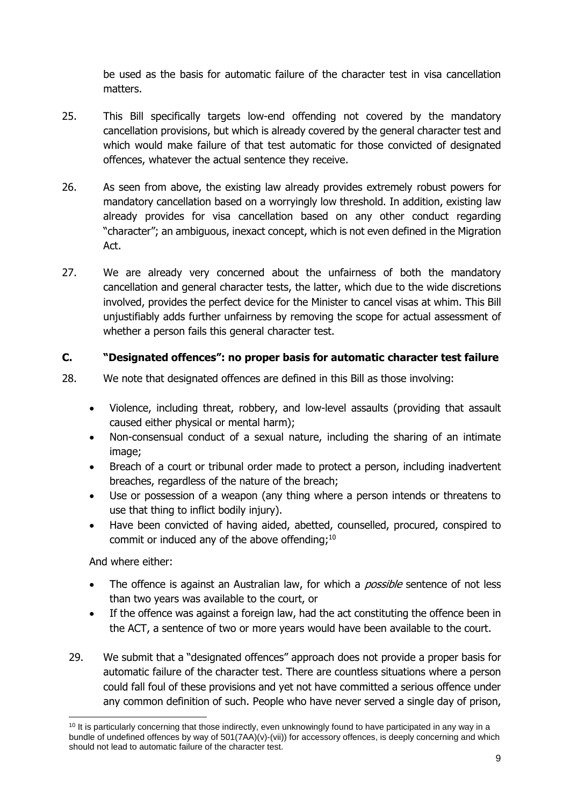be used as the basis for automatic failure of the character test in visa cancellation matters.

- 25. This Bill specifically targets low-end offending not covered by the mandatory cancellation provisions, but which is already covered by the general character test and which would make failure of that test automatic for those convicted of designated offences, whatever the actual sentence they receive.
- 26. As seen from above, the existing law already provides extremely robust powers for mandatory cancellation based on a worryingly low threshold. In addition, existing law already provides for visa cancellation based on any other conduct regarding "character"; an ambiguous, inexact concept, which is not even defined in the Migration Act.
- 27. We are already very concerned about the unfairness of both the mandatory cancellation and general character tests, the latter, which due to the wide discretions involved, provides the perfect device for the Minister to cancel visas at whim. This Bill unjustifiably adds further unfairness by removing the scope for actual assessment of whether a person fails this general character test.

### **C. "Designated offences": no proper basis for automatic character test failure**

- 28. We note that designated offences are defined in this Bill as those involving:
	- Violence, including threat, robbery, and low-level assaults (providing that assault caused either physical or mental harm);
	- Non-consensual conduct of a sexual nature, including the sharing of an intimate image;
	- Breach of a court or tribunal order made to protect a person, including inadvertent breaches, regardless of the nature of the breach;
	- Use or possession of a weapon (any thing where a person intends or threatens to use that thing to inflict bodily injury).
	- Have been convicted of having aided, abetted, counselled, procured, conspired to commit or induced any of the above offending; $^{10}$

And where either:

- The offence is against an Australian law, for which a *possible* sentence of not less than two years was available to the court, or
- If the offence was against a foreign law, had the act constituting the offence been in the ACT, a sentence of two or more years would have been available to the court.
- 29. We submit that a "designated offences" approach does not provide a proper basis for automatic failure of the character test. There are countless situations where a person could fall foul of these provisions and yet not have committed a serious offence under any common definition of such. People who have never served a single day of prison,

<sup>-</sup> $10$  It is particularly concerning that those indirectly, even unknowingly found to have participated in any way in a bundle of undefined offences by way of 501(7AA)(v)-(vii)) for accessory offences, is deeply concerning and which should not lead to automatic failure of the character test.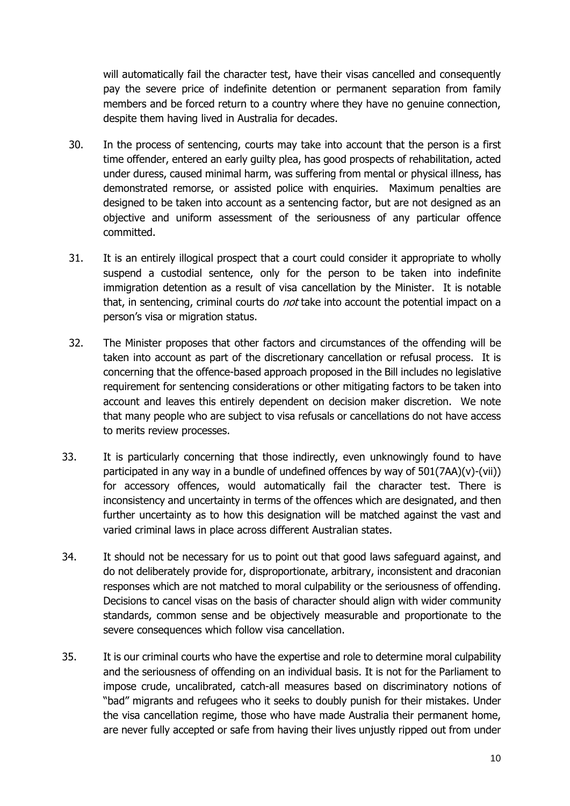will automatically fail the character test, have their visas cancelled and consequently pay the severe price of indefinite detention or permanent separation from family members and be forced return to a country where they have no genuine connection, despite them having lived in Australia for decades.

- 30. In the process of sentencing, courts may take into account that the person is a first time offender, entered an early guilty plea, has good prospects of rehabilitation, acted under duress, caused minimal harm, was suffering from mental or physical illness, has demonstrated remorse, or assisted police with enquiries. Maximum penalties are designed to be taken into account as a sentencing factor, but are not designed as an objective and uniform assessment of the seriousness of any particular offence committed.
- 31. It is an entirely illogical prospect that a court could consider it appropriate to wholly suspend a custodial sentence, only for the person to be taken into indefinite immigration detention as a result of visa cancellation by the Minister. It is notable that, in sentencing, criminal courts do *not* take into account the potential impact on a person's visa or migration status.
- 32. The Minister proposes that other factors and circumstances of the offending will be taken into account as part of the discretionary cancellation or refusal process. It is concerning that the offence-based approach proposed in the Bill includes no legislative requirement for sentencing considerations or other mitigating factors to be taken into account and leaves this entirely dependent on decision maker discretion. We note that many people who are subject to visa refusals or cancellations do not have access to merits review processes.
- 33. It is particularly concerning that those indirectly, even unknowingly found to have participated in any way in a bundle of undefined offences by way of  $501(7AA)(v)-(vii)$ ) for accessory offences, would automatically fail the character test. There is inconsistency and uncertainty in terms of the offences which are designated, and then further uncertainty as to how this designation will be matched against the vast and varied criminal laws in place across different Australian states.
- 34. It should not be necessary for us to point out that good laws safeguard against, and do not deliberately provide for, disproportionate, arbitrary, inconsistent and draconian responses which are not matched to moral culpability or the seriousness of offending. Decisions to cancel visas on the basis of character should align with wider community standards, common sense and be objectively measurable and proportionate to the severe consequences which follow visa cancellation.
- 35. It is our criminal courts who have the expertise and role to determine moral culpability and the seriousness of offending on an individual basis. It is not for the Parliament to impose crude, uncalibrated, catch-all measures based on discriminatory notions of "bad" migrants and refugees who it seeks to doubly punish for their mistakes. Under the visa cancellation regime, those who have made Australia their permanent home, are never fully accepted or safe from having their lives unjustly ripped out from under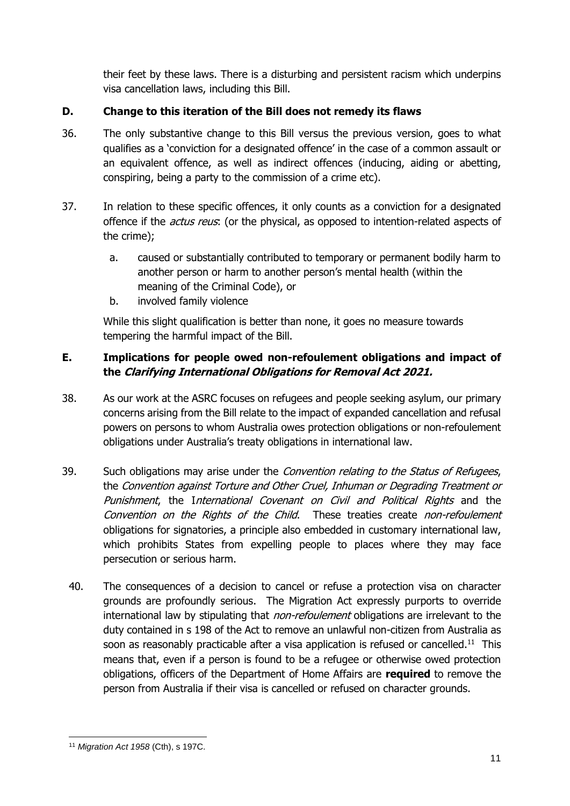their feet by these laws. There is a disturbing and persistent racism which underpins visa cancellation laws, including this Bill.

# **D. Change to this iteration of the Bill does not remedy its flaws**

- 36. The only substantive change to this Bill versus the previous version, goes to what qualifies as a 'conviction for a designated offence' in the case of a common assault or an equivalent offence, as well as indirect offences (inducing, aiding or abetting, conspiring, being a party to the commission of a crime etc).
- 37. In relation to these specific offences, it only counts as a conviction for a designated offence if the *actus reus*: (or the physical, as opposed to intention-related aspects of the crime);
	- a. caused or substantially contributed to temporary or permanent bodily harm to another person or harm to another person's mental health (within the meaning of the Criminal Code), or
	- b. involved family violence

While this slight qualification is better than none, it goes no measure towards tempering the harmful impact of the Bill.

# **E. Implications for people owed non-refoulement obligations and impact of the Clarifying International Obligations for Removal Act 2021.**

- 38. As our work at the ASRC focuses on refugees and people seeking asylum, our primary concerns arising from the Bill relate to the impact of expanded cancellation and refusal powers on persons to whom Australia owes protection obligations or non-refoulement obligations under Australia's treaty obligations in international law.
- 39. Such obligations may arise under the *Convention relating to the Status of Refugees*, the Convention against Torture and Other Cruel, Inhuman or Degrading Treatment or Punishment, the International Covenant on Civil and Political Rights and the Convention on the Rights of the Child. These treaties create non-refoulement obligations for signatories, a principle also embedded in customary international law, which prohibits States from expelling people to places where they may face persecution or serious harm.
	- 40. The consequences of a decision to cancel or refuse a protection visa on character grounds are profoundly serious. The Migration Act expressly purports to override international law by stipulating that *non-refoulement* obligations are irrelevant to the duty contained in s 198 of the Act to remove an unlawful non-citizen from Australia as soon as reasonably practicable after a visa application is refused or cancelled.<sup>11</sup> This means that, even if a person is found to be a refugee or otherwise owed protection obligations, officers of the Department of Home Affairs are **required** to remove the person from Australia if their visa is cancelled or refused on character grounds.

<sup>-</sup><sup>11</sup> *Migration Act 1958* (Cth), s 197C.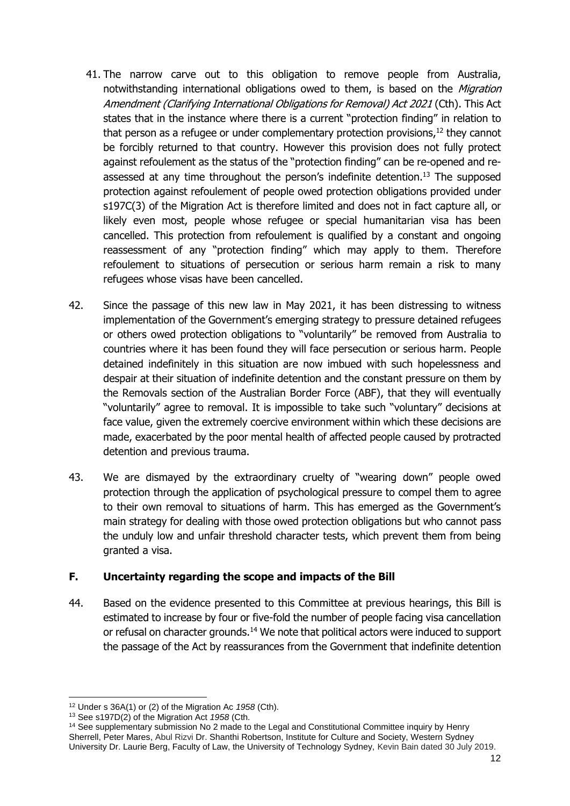- 41. The narrow carve out to this obligation to remove people from Australia, notwithstanding international obligations owed to them, is based on the Migration Amendment (Clarifying International Obligations for Removal) Act 2021 (Cth). This Act states that in the instance where there is a current "protection finding" in relation to that person as a refugee or under complementary protection provisions.<sup>12</sup> they cannot be forcibly returned to that country. However this provision does not fully protect against refoulement as the status of the "protection finding" can be re-opened and reassessed at any time throughout the person's indefinite detention.<sup>13</sup> The supposed protection against refoulement of people owed protection obligations provided under s197C(3) of the Migration Act is therefore limited and does not in fact capture all, or likely even most, people whose refugee or special humanitarian visa has been cancelled. This protection from refoulement is qualified by a constant and ongoing reassessment of any "protection finding" which may apply to them. Therefore refoulement to situations of persecution or serious harm remain a risk to many refugees whose visas have been cancelled.
- 42. Since the passage of this new law in May 2021, it has been distressing to witness implementation of the Government's emerging strategy to pressure detained refugees or others owed protection obligations to "voluntarily" be removed from Australia to countries where it has been found they will face persecution or serious harm. People detained indefinitely in this situation are now imbued with such hopelessness and despair at their situation of indefinite detention and the constant pressure on them by the Removals section of the Australian Border Force (ABF), that they will eventually "voluntarily" agree to removal. It is impossible to take such "voluntary" decisions at face value, given the extremely coercive environment within which these decisions are made, exacerbated by the poor mental health of affected people caused by protracted detention and previous trauma.
- 43. We are dismayed by the extraordinary cruelty of "wearing down" people owed protection through the application of psychological pressure to compel them to agree to their own removal to situations of harm. This has emerged as the Government's main strategy for dealing with those owed protection obligations but who cannot pass the unduly low and unfair threshold character tests, which prevent them from being granted a visa.

### **F. Uncertainty regarding the scope and impacts of the Bill**

44. Based on the evidence presented to this Committee at previous hearings, this Bill is estimated to increase by four or five-fold the number of people facing visa cancellation or refusal on character grounds.<sup>14</sup> We note that political actors were induced to support the passage of the Act by reassurances from the Government that indefinite detention

<sup>12</sup> Under s 36A(1) or (2) of the Migration Ac *1958* (Cth).

<sup>13</sup> See s197D(2) of the Migration Act *1958* (Cth.

<sup>&</sup>lt;sup>14</sup> See supplementary submission No 2 made to the Legal and Constitutional Committee inquiry by Henry Sherrell, Peter Mares, Abul Rizvi Dr. Shanthi Robertson, Institute for Culture and Society, Western Sydney University Dr. Laurie Berg, Faculty of Law, the University of Technology Sydney, Kevin Bain dated 30 July 2019.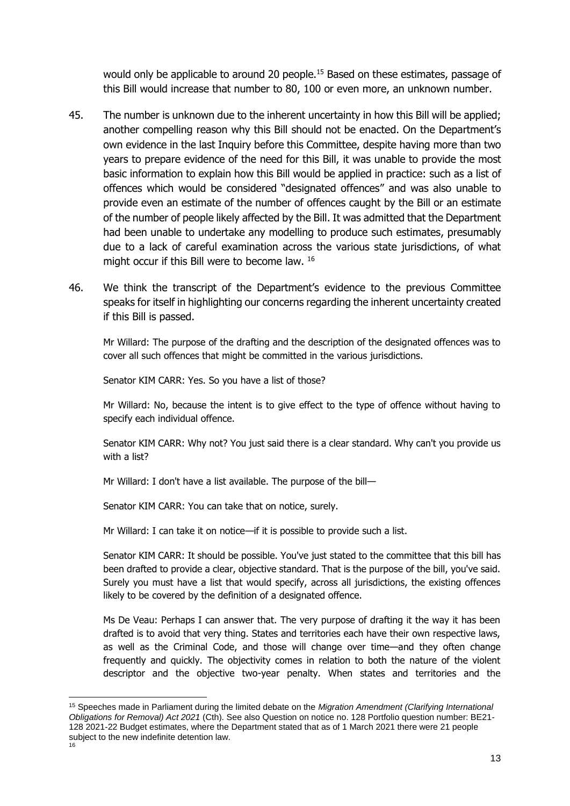would only be applicable to around 20 people.<sup>15</sup> Based on these estimates, passage of this Bill would increase that number to 80, 100 or even more, an unknown number.

- 45. The number is unknown due to the inherent uncertainty in how this Bill will be applied; another compelling reason why this Bill should not be enacted. On the Department's own evidence in the last Inquiry before this Committee, despite having more than two years to prepare evidence of the need for this Bill, it was unable to provide the most basic information to explain how this Bill would be applied in practice: such as a list of offences which would be considered "designated offences" and was also unable to provide even an estimate of the number of offences caught by the Bill or an estimate of the number of people likely affected by the Bill. It was admitted that the Department had been unable to undertake any modelling to produce such estimates, presumably due to a lack of careful examination across the various state jurisdictions, of what might occur if this Bill were to become law. 16
- 46. We think the transcript of the Department's evidence to the previous Committee speaks for itself in highlighting our concerns regarding the inherent uncertainty created if this Bill is passed.

Mr Willard: The purpose of the drafting and the description of the designated offences was to cover all such offences that might be committed in the various jurisdictions.

Senator KIM CARR: Yes. So you have a list of those?

Mr Willard: No, because the intent is to give effect to the type of offence without having to specify each individual offence.

Senator KIM CARR: Why not? You just said there is a clear standard. Why can't you provide us with a list?

Mr Willard: I don't have a list available. The purpose of the bill—

Senator KIM CARR: You can take that on notice, surely.

Mr Willard: I can take it on notice—if it is possible to provide such a list.

Senator KIM CARR: It should be possible. You've just stated to the committee that this bill has been drafted to provide a clear, objective standard. That is the purpose of the bill, you've said. Surely you must have a list that would specify, across all jurisdictions, the existing offences likely to be covered by the definition of a designated offence.

Ms De Veau: Perhaps I can answer that. The very purpose of drafting it the way it has been drafted is to avoid that very thing. States and territories each have their own respective laws, as well as the Criminal Code, and those will change over time—and they often change frequently and quickly. The objectivity comes in relation to both the nature of the violent descriptor and the objective two-year penalty. When states and territories and the

<sup>15</sup> Speeches made in Parliament during the limited debate on the *Migration Amendment (Clarifying International Obligations for Removal) Act 2021* (Cth). See also Question on notice no. 128 Portfolio question number: BE21- 128 2021-22 Budget estimates, where the Department stated that as of 1 March 2021 there were 21 people subject to the new indefinite detention law.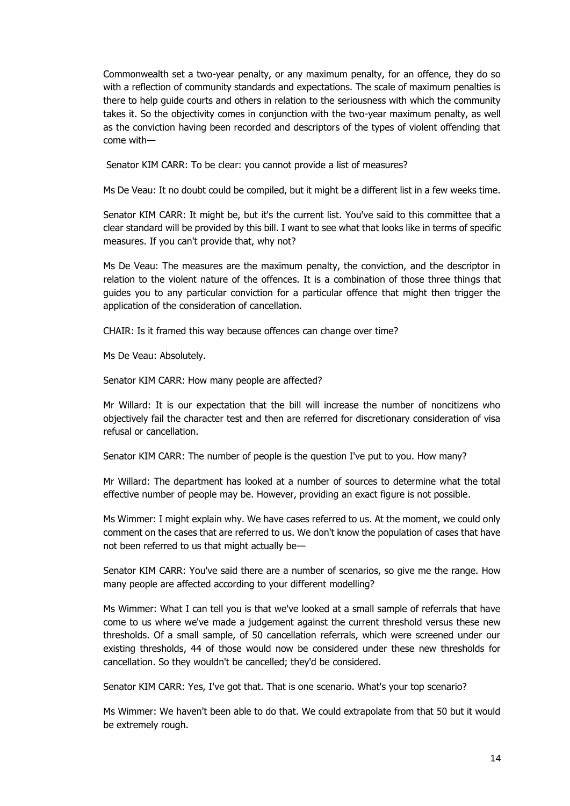Commonwealth set a two-year penalty, or any maximum penalty, for an offence, they do so with a reflection of community standards and expectations. The scale of maximum penalties is there to help guide courts and others in relation to the seriousness with which the community takes it. So the objectivity comes in conjunction with the two-year maximum penalty, as well as the conviction having been recorded and descriptors of the types of violent offending that come with—

Senator KIM CARR: To be clear: you cannot provide a list of measures?

Ms De Veau: It no doubt could be compiled, but it might be a different list in a few weeks time.

Senator KIM CARR: It might be, but it's the current list. You've said to this committee that a clear standard will be provided by this bill. I want to see what that looks like in terms of specific measures. If you can't provide that, why not?

Ms De Veau: The measures are the maximum penalty, the conviction, and the descriptor in relation to the violent nature of the offences. It is a combination of those three things that guides you to any particular conviction for a particular offence that might then trigger the application of the consideration of cancellation.

CHAIR: Is it framed this way because offences can change over time?

Ms De Veau: Absolutely.

Senator KIM CARR: How many people are affected?

Mr Willard: It is our expectation that the bill will increase the number of noncitizens who objectively fail the character test and then are referred for discretionary consideration of visa refusal or cancellation.

Senator KIM CARR: The number of people is the question I've put to you. How many?

Mr Willard: The department has looked at a number of sources to determine what the total effective number of people may be. However, providing an exact figure is not possible.

Ms Wimmer: I might explain why. We have cases referred to us. At the moment, we could only comment on the cases that are referred to us. We don't know the population of cases that have not been referred to us that might actually be—

Senator KIM CARR: You've said there are a number of scenarios, so give me the range. How many people are affected according to your different modelling?

Ms Wimmer: What I can tell you is that we've looked at a small sample of referrals that have come to us where we've made a judgement against the current threshold versus these new thresholds. Of a small sample, of 50 cancellation referrals, which were screened under our existing thresholds, 44 of those would now be considered under these new thresholds for cancellation. So they wouldn't be cancelled; they'd be considered.

Senator KIM CARR: Yes, I've got that. That is one scenario. What's your top scenario?

Ms Wimmer: We haven't been able to do that. We could extrapolate from that 50 but it would be extremely rough.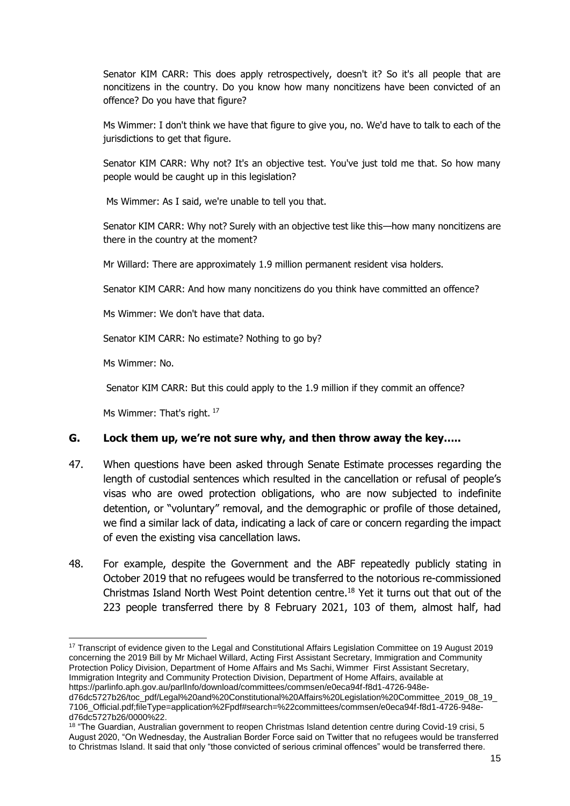Senator KIM CARR: This does apply retrospectively, doesn't it? So it's all people that are noncitizens in the country. Do you know how many noncitizens have been convicted of an offence? Do you have that figure?

Ms Wimmer: I don't think we have that figure to give you, no. We'd have to talk to each of the jurisdictions to get that figure.

Senator KIM CARR: Why not? It's an objective test. You've just told me that. So how many people would be caught up in this legislation?

Ms Wimmer: As I said, we're unable to tell you that.

Senator KIM CARR: Why not? Surely with an objective test like this—how many noncitizens are there in the country at the moment?

Mr Willard: There are approximately 1.9 million permanent resident visa holders.

Senator KIM CARR: And how many noncitizens do you think have committed an offence?

Ms Wimmer: We don't have that data.

Senator KIM CARR: No estimate? Nothing to go by?

Ms Wimmer: No.

-

Senator KIM CARR: But this could apply to the 1.9 million if they commit an offence?

Ms Wimmer: That's right. <sup>17</sup>

#### **G. Lock them up, we're not sure why, and then throw away the key…..**

- 47. When questions have been asked through Senate Estimate processes regarding the length of custodial sentences which resulted in the cancellation or refusal of people's visas who are owed protection obligations, who are now subjected to indefinite detention, or "voluntary" removal, and the demographic or profile of those detained, we find a similar lack of data, indicating a lack of care or concern regarding the impact of even the existing visa cancellation laws.
- 48. For example, despite the Government and the ABF repeatedly publicly stating in October 2019 that no refugees would be transferred to the notorious re-commissioned Christmas Island North West Point detention centre. <sup>18</sup> Yet it turns out that out of the 223 people transferred there by 8 February 2021, 103 of them, almost half, had

<sup>&</sup>lt;sup>17</sup> Transcript of evidence given to the Legal and Constitutional Affairs Legislation Committee on 19 August 2019 concerning the 2019 Bill by Mr Michael Willard, Acting First Assistant Secretary, Immigration and Community Protection Policy Division, Department of Home Affairs and Ms Sachi, Wimmer First Assistant Secretary, Immigration Integrity and Community Protection Division, Department of Home Affairs, available at https://parlinfo.aph.gov.au/parlInfo/download/committees/commsen/e0eca94f-f8d1-4726-948ed76dc5727b26/toc\_pdf/Legal%20and%20Constitutional%20Affairs%20Legislation%20Committee\_2019\_08\_19\_

<sup>7106</sup>\_Official.pdf;fileType=application%2Fpdf#search=%22committees/commsen/e0eca94f-f8d1-4726-948ed76dc5727b26/0000%22.

<sup>18 &</sup>quot;The Guardian, Australian government to reopen Christmas Island detention centre during Covid-19 crisi, 5 August 2020, "On Wednesday, the Australian Border Force said on Twitter that no refugees would be [transferred](https://twitter.com/AusBorderForce/status/1290822452063305730) to [Christmas](https://twitter.com/AusBorderForce/status/1290822452063305730) Island. It said that only "those convicted of serious criminal offences" would be transferred there.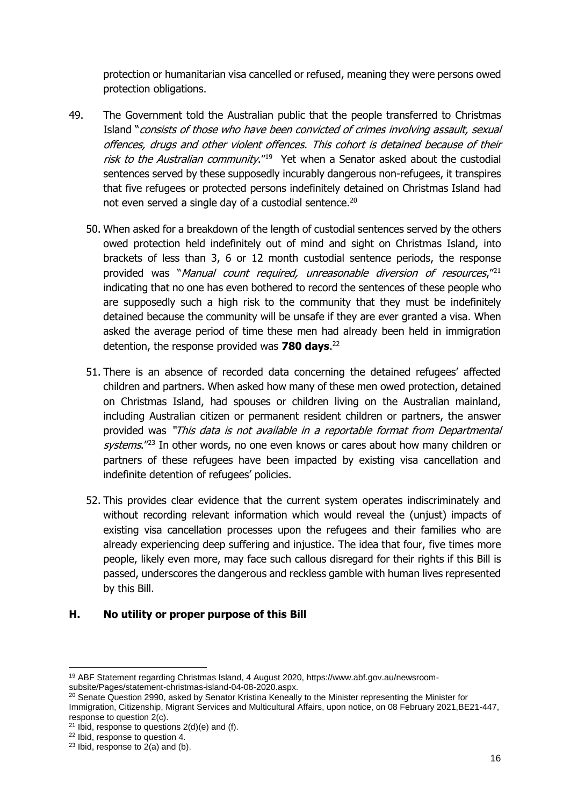protection or humanitarian visa cancelled or refused, meaning they were persons owed protection obligations.

- 49. The Government told the Australian public that the people transferred to Christmas Island "consists of those who have been convicted of crimes involving assault, sexual offences, drugs and other violent offences. This cohort is detained because of their risk to the Australian community."<sup>19</sup> Yet when a Senator asked about the custodial sentences served by these supposedly incurably dangerous non-refugees, it transpires that five refugees or protected persons indefinitely detained on Christmas Island had not even served a single day of a custodial sentence.<sup>20</sup>
	- 50. When asked for a breakdown of the length of custodial sentences served by the others owed protection held indefinitely out of mind and sight on Christmas Island, into brackets of less than 3, 6 or 12 month custodial sentence periods, the response provided was "Manual count required, unreasonable diversion of resources,"<sup>21</sup> indicating that no one has even bothered to record the sentences of these people who are supposedly such a high risk to the community that they must be indefinitely detained because the community will be unsafe if they are ever granted a visa. When asked the average period of time these men had already been held in immigration detention, the response provided was **780 days**. 22
	- 51. There is an absence of recorded data concerning the detained refugees' affected children and partners. When asked how many of these men owed protection, detained on Christmas Island, had spouses or children living on the Australian mainland, including Australian citizen or permanent resident children or partners, the answer provided was "This data is not available in a reportable format from Departmental systems."<sup>23</sup> In other words, no one even knows or cares about how many children or partners of these refugees have been impacted by existing visa cancellation and indefinite detention of refugees' policies.
	- 52. This provides clear evidence that the current system operates indiscriminately and without recording relevant information which would reveal the (unjust) impacts of existing visa cancellation processes upon the refugees and their families who are already experiencing deep suffering and injustice. The idea that four, five times more people, likely even more, may face such callous disregard for their rights if this Bill is passed, underscores the dangerous and reckless gamble with human lives represented by this Bill.

### **H. No utility or proper purpose of this Bill**

<sup>19</sup> ABF Statement regarding Christmas Island, 4 August 2020, https://www.abf.gov.au/newsroomsubsite/Pages/statement-christmas-island-04-08-2020.aspx.

<sup>&</sup>lt;sup>20</sup> Senate Question 2990, asked by Senator Kristina Keneally to the Minister representing the Minister for Immigration, Citizenship, Migrant Services and Multicultural Affairs, upon notice, on 08 February 2021,BE21-447, response to question 2(c).

<sup>&</sup>lt;sup>21</sup> Ibid, response to questions  $2(d)(e)$  and (f).

<sup>22</sup> Ibid, response to question 4.

 $23$  Ibid, response to  $2(a)$  and (b).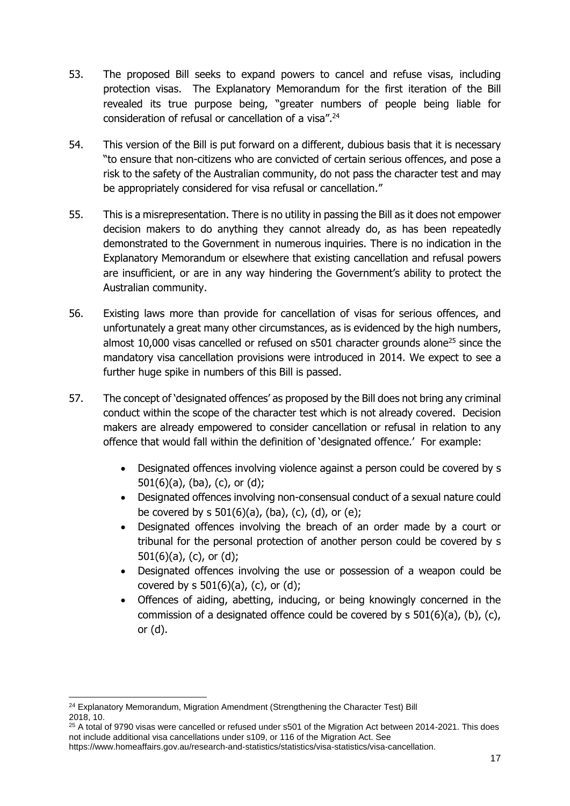- 53. The proposed Bill seeks to expand powers to cancel and refuse visas, including protection visas. The Explanatory Memorandum for the first iteration of the Bill revealed its true purpose being, "greater numbers of people being liable for consideration of refusal or cancellation of a visa".<sup>24</sup>
- 54. This version of the Bill is put forward on a different, dubious basis that it is necessary "to ensure that non-citizens who are convicted of certain serious offences, and pose a risk to the safety of the Australian community, do not pass the character test and may be appropriately considered for visa refusal or cancellation."
- 55. This is a misrepresentation. There is no utility in passing the Bill as it does not empower decision makers to do anything they cannot already do, as has been repeatedly demonstrated to the Government in numerous inquiries. There is no indication in the Explanatory Memorandum or elsewhere that existing cancellation and refusal powers are insufficient, or are in any way hindering the Government's ability to protect the Australian community.
- 56. Existing laws more than provide for cancellation of visas for serious offences, and unfortunately a great many other circumstances, as is evidenced by the high numbers, almost 10,000 visas cancelled or refused on s501 character grounds alone<sup>25</sup> since the mandatory visa cancellation provisions were introduced in 2014. We expect to see a further huge spike in numbers of this Bill is passed.
- 57. The concept of 'designated offences' as proposed by the Bill does not bring any criminal conduct within the scope of the character test which is not already covered. Decision makers are already empowered to consider cancellation or refusal in relation to any offence that would fall within the definition of 'designated offence.' For example:
	- Designated offences involving violence against a person could be covered by s 501(6)(a), (ba), (c), or (d);
	- Designated offences involving non-consensual conduct of a sexual nature could be covered by  $s$  501(6)(a), (ba), (c), (d), or (e);
	- Designated offences involving the breach of an order made by a court or tribunal for the personal protection of another person could be covered by s 501(6)(a), (c), or (d);
	- Designated offences involving the use or possession of a weapon could be covered by s  $501(6)(a)$ , (c), or (d);
	- Offences of aiding, abetting, inducing, or being knowingly concerned in the commission of a designated offence could be covered by s 501(6)(a), (b), (c), or (d).

<sup>&</sup>lt;sup>24</sup> Explanatory Memorandum, Migration Amendment (Strengthening the Character Test) Bill 2018, 10.

<sup>&</sup>lt;sup>25</sup> A total of 9790 visas were cancelled or refused under s501 of the Migration Act between 2014-2021. This does not include additional visa cancellations under s109, or 116 of the Migration Act. See

https://www.homeaffairs.gov.au/research-and-statistics/statistics/visa-statistics/visa-cancellation.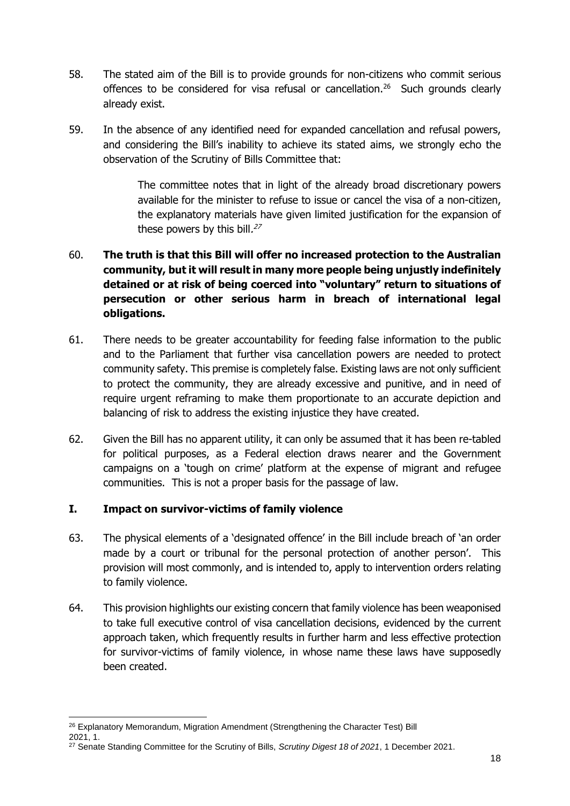- 58. The stated aim of the Bill is to provide grounds for non-citizens who commit serious offences to be considered for visa refusal or cancellation.<sup>26</sup> Such grounds clearly already exist.
- 59. In the absence of any identified need for expanded cancellation and refusal powers, and considering the Bill's inability to achieve its stated aims, we strongly echo the observation of the Scrutiny of Bills Committee that:

The committee notes that in light of the already broad discretionary powers available for the minister to refuse to issue or cancel the visa of a non-citizen, the explanatory materials have given limited justification for the expansion of these powers by this bill.<sup>27</sup>

# 60. **The truth is that this Bill will offer no increased protection to the Australian community, but it will result in many more people being unjustly indefinitely detained or at risk of being coerced into "voluntary" return to situations of persecution or other serious harm in breach of international legal obligations.**

- 61. There needs to be greater accountability for feeding false information to the public and to the Parliament that further visa cancellation powers are needed to protect community safety. This premise is completely false. Existing laws are not only sufficient to protect the community, they are already excessive and punitive, and in need of require urgent reframing to make them proportionate to an accurate depiction and balancing of risk to address the existing injustice they have created.
- 62. Given the Bill has no apparent utility, it can only be assumed that it has been re-tabled for political purposes, as a Federal election draws nearer and the Government campaigns on a 'tough on crime' platform at the expense of migrant and refugee communities. This is not a proper basis for the passage of law.

# **I. Impact on survivor-victims of family violence**

- 63. The physical elements of a 'designated offence' in the Bill include breach of 'an order made by a court or tribunal for the personal protection of another person'. This provision will most commonly, and is intended to, apply to intervention orders relating to family violence.
- 64. This provision highlights our existing concern that family violence has been weaponised to take full executive control of visa cancellation decisions, evidenced by the current approach taken, which frequently results in further harm and less effective protection for survivor-victims of family violence, in whose name these laws have supposedly been created.

2021, 1.

<sup>-</sup><sup>26</sup> Explanatory Memorandum, Migration Amendment (Strengthening the Character Test) Bill

<sup>27</sup> Senate Standing Committee for the Scrutiny of Bills, *Scrutiny Digest 18 of 2021*, 1 December 2021.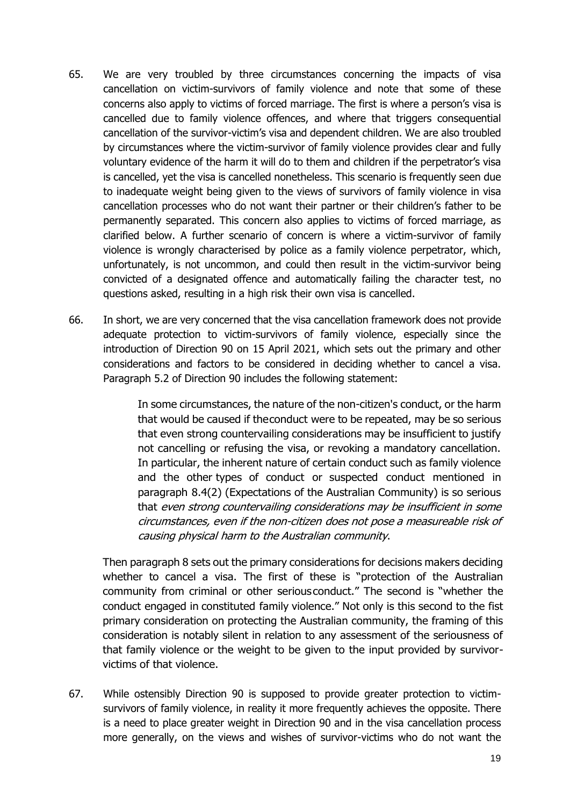- 65. We are very troubled by three circumstances concerning the impacts of visa cancellation on victim-survivors of family violence and note that some of these concerns also apply to victims of forced marriage. The first is where a person's visa is cancelled due to family violence offences, and where that triggers consequential cancellation of the survivor-victim's visa and dependent children. We are also troubled by circumstances where the victim-survivor of family violence provides clear and fully voluntary evidence of the harm it will do to them and children if the perpetrator's visa is cancelled, yet the visa is cancelled nonetheless. This scenario is frequently seen due to inadequate weight being given to the views of survivors of family violence in visa cancellation processes who do not want their partner or their children's father to be permanently separated. This concern also applies to victims of forced marriage, as clarified below. A further scenario of concern is where a victim-survivor of family violence is wrongly characterised by police as a family violence perpetrator, which, unfortunately, is not uncommon, and could then result in the victim-survivor being convicted of a designated offence and automatically failing the character test, no questions asked, resulting in a high risk their own visa is cancelled.
- 66. In short, we are very concerned that the visa cancellation framework does not provide adequate protection to victim-survivors of family violence, especially since the introduction of Direction 90 on 15 April 2021, which sets out the primary and other considerations and factors to be considered in deciding whether to cancel a visa. Paragraph 5.2 of Direction 90 includes the following statement:

In some circumstances, the nature of the non-citizen's conduct, or the harm that would be caused if theconduct were to be repeated, may be so serious that even strong countervailing considerations may be insufficient to justify not cancelling or refusing the visa, or revoking a mandatory cancellation. In particular, the inherent nature of certain conduct such as family violence and the other types of conduct or suspected conduct mentioned in paragraph 8.4(2) (Expectations of the Australian Community) is so serious that even strong countervailing considerations may be insufficient in some circumstances, even if the non-citizen does not pose <sup>a</sup> measureable risk of causing physical harm to the Australian community.

Then paragraph 8 sets out the primary considerations for decisions makers deciding whether to cancel a visa. The first of these is "protection of the Australian community from criminal or other seriousconduct." The second is "whether the conduct engaged in constituted family violence." Not only is this second to the fist primary consideration on protecting the Australian community, the framing of this consideration is notably silent in relation to any assessment of the seriousness of that family violence or the weight to be given to the input provided by survivorvictims of that violence.

67. While ostensibly Direction 90 is supposed to provide greater protection to victimsurvivors of family violence, in reality it more frequently achieves the opposite. There is a need to place greater weight in Direction 90 and in the visa cancellation process more generally, on the views and wishes of survivor-victims who do not want the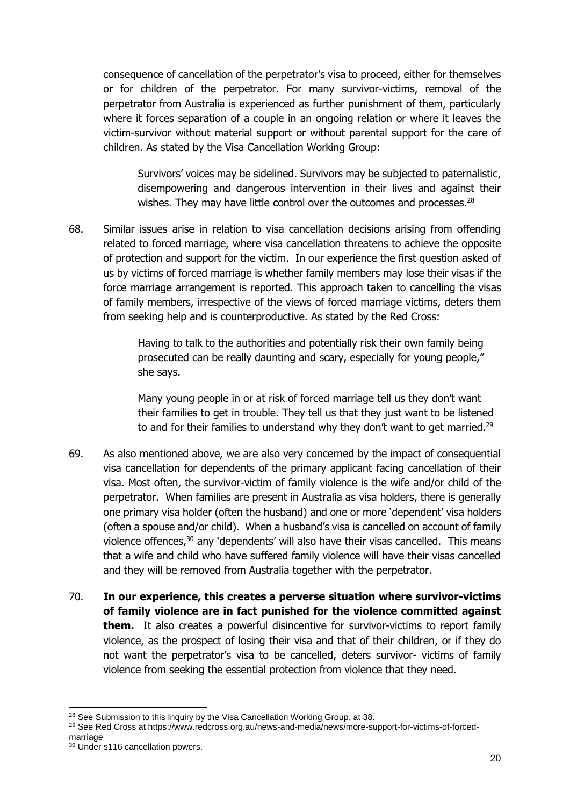consequence of cancellation of the perpetrator's visa to proceed, either for themselves or for children of the perpetrator. For many survivor-victims, removal of the perpetrator from Australia is experienced as further punishment of them, particularly where it forces separation of a couple in an ongoing relation or where it leaves the victim-survivor without material support or without parental support for the care of children. As stated by the Visa Cancellation Working Group:

Survivors' voices may be sidelined. Survivors may be subjected to paternalistic, disempowering and dangerous intervention in their lives and against their wishes. They may have little control over the outcomes and processes.<sup>28</sup>

68. Similar issues arise in relation to visa cancellation decisions arising from offending related to forced marriage, where visa cancellation threatens to achieve the opposite of protection and support for the victim. In our experience the first question asked of us by victims of forced marriage is whether family members may lose their visas if the force marriage arrangement is reported. This approach taken to cancelling the visas of family members, irrespective of the views of forced marriage victims, deters them from seeking help and is counterproductive. As stated by the Red Cross:

> Having to talk to the authorities and potentially risk their own family being prosecuted can be really daunting and scary, especially for young people," she says.

Many young people in or at risk of forced marriage tell us they don't want their families to get in trouble. They tell us that they just want to be listened to and for their families to understand why they don't want to get married.<sup>29</sup>

- 69. As also mentioned above, we are also very concerned by the impact of consequential visa cancellation for dependents of the primary applicant facing cancellation of their visa. Most often, the survivor-victim of family violence is the wife and/or child of the perpetrator. When families are present in Australia as visa holders, there is generally one primary visa holder (often the husband) and one or more 'dependent' visa holders (often a spouse and/or child). When a husband's visa is cancelled on account of family violence offences,<sup>30</sup> any 'dependents' will also have their visas cancelled. This means that a wife and child who have suffered family violence will have their visas cancelled and they will be removed from Australia together with the perpetrator.
- 70. **In our experience, this creates a perverse situation where survivor-victims of family violence are in fact punished for the violence committed against them.** It also creates a powerful disincentive for survivor-victims to report family violence, as the prospect of losing their visa and that of their children, or if they do not want the perpetrator's visa to be cancelled, deters survivor- victims of family violence from seeking the essential protection from violence that they need.

<sup>&</sup>lt;sup>28</sup> See Submission to this Inquiry by the Visa Cancellation Working Group, at 38.

<sup>29</sup> See Red Cross at https://www.redcross.org.au/news-and-media/news/more-support-for-victims-of-forcedmarriage

<sup>30</sup> Under s116 cancellation powers.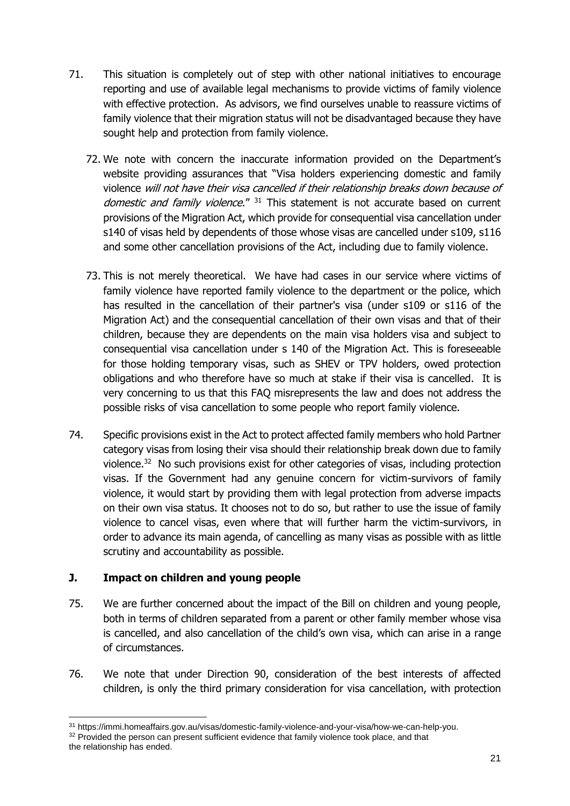- 71. This situation is completely out of step with other national initiatives to encourage reporting and use of available legal mechanisms to provide victims of family violence with effective protection. As advisors, we find ourselves unable to reassure victims of family violence that their migration status will not be disadvantaged because they have sought help and protection from family violence.
	- 72. We note with concern the inaccurate information provided on the Department's website providing assurances that "Visa holders experiencing domestic and family violence will not have their visa cancelled if their relationship breaks down because of domestic and family violence." <sup>31</sup> This statement is not accurate based on current provisions of the Migration Act, which provide for consequential visa cancellation under s140 of visas held by dependents of those whose visas are cancelled under s109, s116 and some other cancellation provisions of the Act, including due to family violence.
	- 73. This is not merely theoretical. We have had cases in our service where victims of family violence have reported family violence to the department or the police, which has resulted in the cancellation of their partner's visa (under s109 or s116 of the Migration Act) and the consequential cancellation of their own visas and that of their children, because they are dependents on the main visa holders visa and subject to consequential visa cancellation under s 140 of the Migration Act. This is foreseeable for those holding temporary visas, such as SHEV or TPV holders, owed protection obligations and who therefore have so much at stake if their visa is cancelled. It is very concerning to us that this FAQ misrepresents the law and does not address the possible risks of visa cancellation to some people who report family violence.
- 74. Specific provisions exist in the Act to protect affected family members who hold Partner category visas from losing their visa should their relationship break down due to family violence.<sup>32</sup> No such provisions exist for other categories of visas, including protection visas. If the Government had any genuine concern for victim-survivors of family violence, it would start by providing them with legal protection from adverse impacts on their own visa status. It chooses not to do so, but rather to use the issue of family violence to cancel visas, even where that will further harm the victim-survivors, in order to advance its main agenda, of cancelling as many visas as possible with as little scrutiny and accountability as possible.

# **J. Impact on children and young people**

- 75. We are further concerned about the impact of the Bill on children and young people, both in terms of children separated from a parent or other family member whose visa is cancelled, and also cancellation of the child's own visa, which can arise in a range of circumstances.
- 76. We note that under Direction 90, consideration of the best interests of affected children, is only the third primary consideration for visa cancellation, with protection

<sup>-</sup><sup>31</sup> https://immi.homeaffairs.gov.au/visas/domestic-family-violence-and-your-visa/how-we-can-help-you.

<sup>&</sup>lt;sup>32</sup> Provided the person can present sufficient evidence that family violence took place, and that the relationship has ended.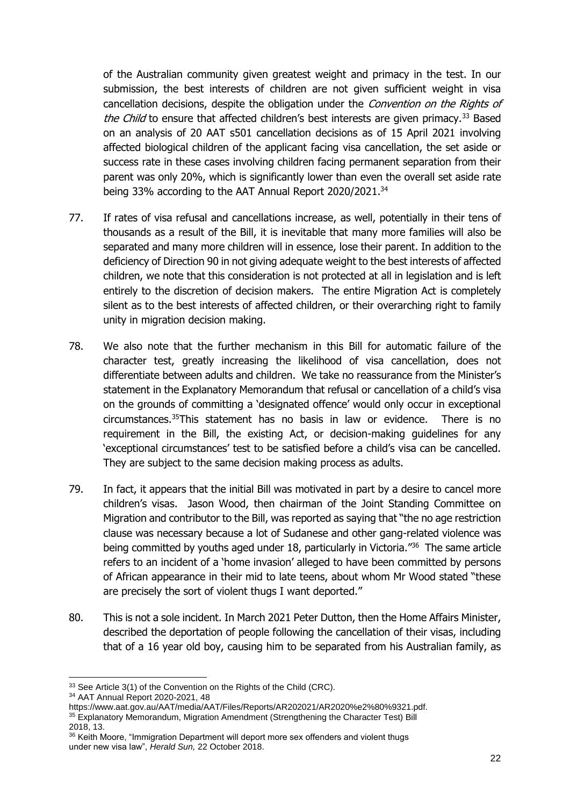of the Australian community given greatest weight and primacy in the test. In our submission, the best interests of children are not given sufficient weight in visa cancellation decisions, despite the obligation under the Convention on the Rights of the Child to ensure that affected children's best interests are given primacy.<sup>33</sup> Based on an analysis of 20 AAT s501 cancellation decisions as of 15 April 2021 involving affected biological children of the applicant facing visa cancellation, the set aside or success rate in these cases involving children facing permanent separation from their parent was only 20%, which is significantly lower than even the overall set aside rate being 33% according to the AAT Annual Report 2020/2021.<sup>34</sup>

- 77. If rates of visa refusal and cancellations increase, as well, potentially in their tens of thousands as a result of the Bill, it is inevitable that many more families will also be separated and many more children will in essence, lose their parent. In addition to the deficiency of Direction 90 in not giving adequate weight to the best interests of affected children, we note that this consideration is not protected at all in legislation and is left entirely to the discretion of decision makers. The entire Migration Act is completely silent as to the best interests of affected children, or their overarching right to family unity in migration decision making.
- 78. We also note that the further mechanism in this Bill for automatic failure of the character test, greatly increasing the likelihood of visa cancellation, does not differentiate between adults and children. We take no reassurance from the Minister's statement in the Explanatory Memorandum that refusal or cancellation of a child's visa on the grounds of committing a 'designated offence' would only occur in exceptional circumstances.<sup>35</sup>This statement has no basis in law or evidence. There is no requirement in the Bill, the existing Act, or decision-making guidelines for any 'exceptional circumstances' test to be satisfied before a child's visa can be cancelled. They are subject to the same decision making process as adults.
- 79. In fact, it appears that the initial Bill was motivated in part by a desire to cancel more children's visas. Jason Wood, then chairman of the Joint Standing Committee on Migration and contributor to the Bill, was reported as saying that "the no age restriction clause was necessary because a lot of Sudanese and other gang-related violence was being committed by youths aged under 18, particularly in Victoria.<sup>"36</sup> The same article refers to an incident of a 'home invasion' alleged to have been committed by persons of African appearance in their mid to late teens, about whom Mr Wood stated "these are precisely the sort of violent thugs I want deported."
- 80. This is not a sole incident. In March 2021 Peter Dutton, then the Home Affairs Minister, described the deportation of people following the cancellation of their visas, including that of a 16 year old boy, causing him to be separated from his Australian family, as

<sup>-</sup><sup>33</sup> See Article 3(1) of the Convention on the Rights of the Child (CRC).

<sup>34</sup> AAT Annual Report 2020-2021, 48

https://www.aat.gov.au/AAT/media/AAT/Files/Reports/AR202021/AR2020%e2%80%9321.pdf. <sup>35</sup> Explanatory Memorandum, Migration Amendment (Strengthening the Character Test) Bill 2018, 13.

<sup>&</sup>lt;sup>36</sup> Keith Moore, "Immigration Department will deport more sex offenders and violent thugs under new visa law", *Herald Sun,* 22 October 2018.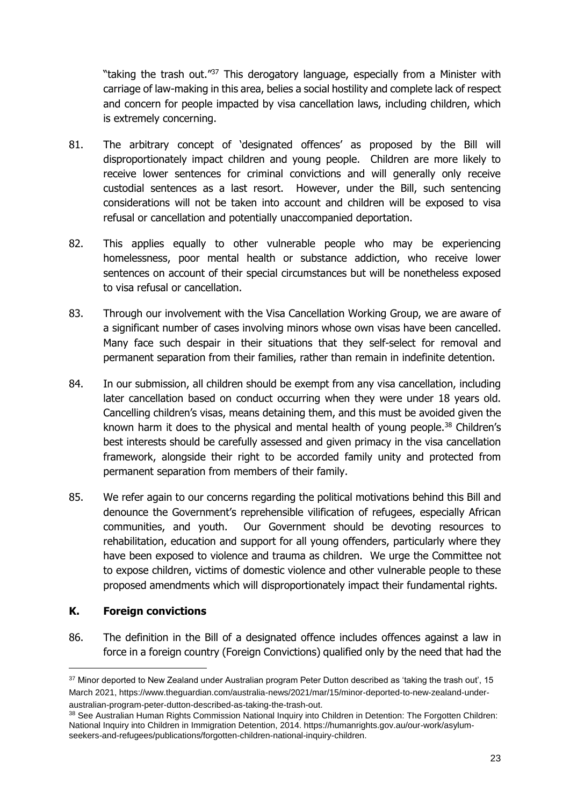"taking the trash out."<sup>37</sup> This derogatory language, especially from a Minister with carriage of law-making in this area, belies a social hostility and complete lack of respect and concern for people impacted by visa cancellation laws, including children, which is extremely concerning.

- 81. The arbitrary concept of 'designated offences' as proposed by the Bill will disproportionately impact children and young people. Children are more likely to receive lower sentences for criminal convictions and will generally only receive custodial sentences as a last resort. However, under the Bill, such sentencing considerations will not be taken into account and children will be exposed to visa refusal or cancellation and potentially unaccompanied deportation.
- 82. This applies equally to other vulnerable people who may be experiencing homelessness, poor mental health or substance addiction, who receive lower sentences on account of their special circumstances but will be nonetheless exposed to visa refusal or cancellation.
- 83. Through our involvement with the Visa Cancellation Working Group, we are aware of a significant number of cases involving minors whose own visas have been cancelled. Many face such despair in their situations that they self-select for removal and permanent separation from their families, rather than remain in indefinite detention.
- 84. In our submission, all children should be exempt from any visa cancellation, including later cancellation based on conduct occurring when they were under 18 years old. Cancelling children's visas, means detaining them, and this must be avoided given the known harm it does to the physical and mental health of young people.<sup>38</sup> Children's best interests should be carefully assessed and given primacy in the visa cancellation framework, alongside their right to be accorded family unity and protected from permanent separation from members of their family.
- 85. We refer again to our concerns regarding the political motivations behind this Bill and denounce the Government's reprehensible vilification of refugees, especially African communities, and youth. Our Government should be devoting resources to rehabilitation, education and support for all young offenders, particularly where they have been exposed to violence and trauma as children. We urge the Committee not to expose children, victims of domestic violence and other vulnerable people to these proposed amendments which will disproportionately impact their fundamental rights.

### **K. Foreign convictions**

-

86. The definition in the Bill of a designated offence includes offences against a law in force in a foreign country (Foreign Convictions) qualified only by the need that had the

<sup>&</sup>lt;sup>37</sup> Minor deported to New Zealand under Australian program Peter Dutton described as 'taking the trash out', 15 March 2021, https://www.theguardian.com/australia-news/2021/mar/15/minor-deported-to-new-zealand-underaustralian-program-peter-dutton-described-as-taking-the-trash-out.

<sup>38</sup> See Australian Human Rights Commission National Inquiry into Children in Detention: The Forgotten Children: National Inquiry into Children in Immigration Detention, 2014. https://humanrights.gov.au/our-work/asylumseekers-and-refugees/publications/forgotten-children-national-inquiry-children.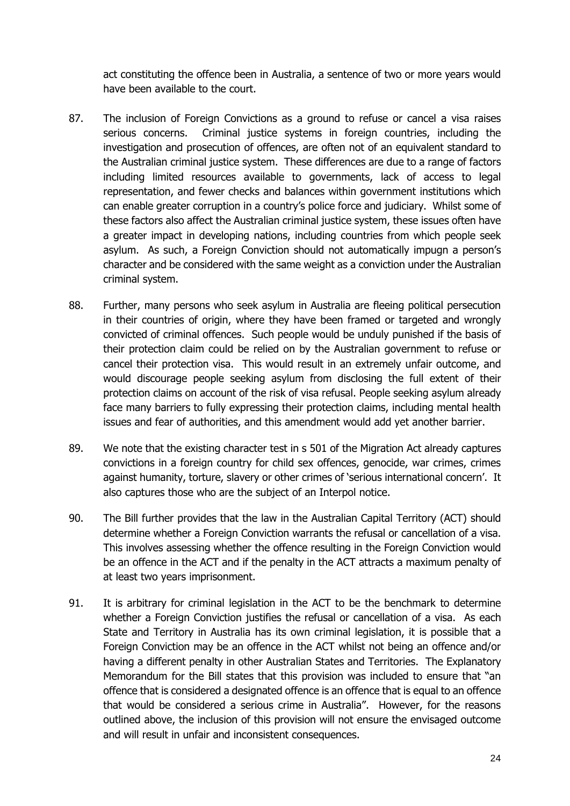act constituting the offence been in Australia, a sentence of two or more years would have been available to the court.

- 87. The inclusion of Foreign Convictions as a ground to refuse or cancel a visa raises serious concerns. Criminal justice systems in foreign countries, including the investigation and prosecution of offences, are often not of an equivalent standard to the Australian criminal justice system. These differences are due to a range of factors including limited resources available to governments, lack of access to legal representation, and fewer checks and balances within government institutions which can enable greater corruption in a country's police force and judiciary. Whilst some of these factors also affect the Australian criminal justice system, these issues often have a greater impact in developing nations, including countries from which people seek asylum. As such, a Foreign Conviction should not automatically impugn a person's character and be considered with the same weight as a conviction under the Australian criminal system.
- 88. Further, many persons who seek asylum in Australia are fleeing political persecution in their countries of origin, where they have been framed or targeted and wrongly convicted of criminal offences. Such people would be unduly punished if the basis of their protection claim could be relied on by the Australian government to refuse or cancel their protection visa. This would result in an extremely unfair outcome, and would discourage people seeking asylum from disclosing the full extent of their protection claims on account of the risk of visa refusal. People seeking asylum already face many barriers to fully expressing their protection claims, including mental health issues and fear of authorities, and this amendment would add yet another barrier.
- 89. We note that the existing character test in s 501 of the Migration Act already captures convictions in a foreign country for child sex offences, genocide, war crimes, crimes against humanity, torture, slavery or other crimes of 'serious international concern'. It also captures those who are the subject of an Interpol notice.
- 90. The Bill further provides that the law in the Australian Capital Territory (ACT) should determine whether a Foreign Conviction warrants the refusal or cancellation of a visa. This involves assessing whether the offence resulting in the Foreign Conviction would be an offence in the ACT and if the penalty in the ACT attracts a maximum penalty of at least two years imprisonment.
- 91. It is arbitrary for criminal legislation in the ACT to be the benchmark to determine whether a Foreign Conviction justifies the refusal or cancellation of a visa. As each State and Territory in Australia has its own criminal legislation, it is possible that a Foreign Conviction may be an offence in the ACT whilst not being an offence and/or having a different penalty in other Australian States and Territories. The Explanatory Memorandum for the Bill states that this provision was included to ensure that "an offence that is considered a designated offence is an offence that is equal to an offence that would be considered a serious crime in Australia". However, for the reasons outlined above, the inclusion of this provision will not ensure the envisaged outcome and will result in unfair and inconsistent consequences.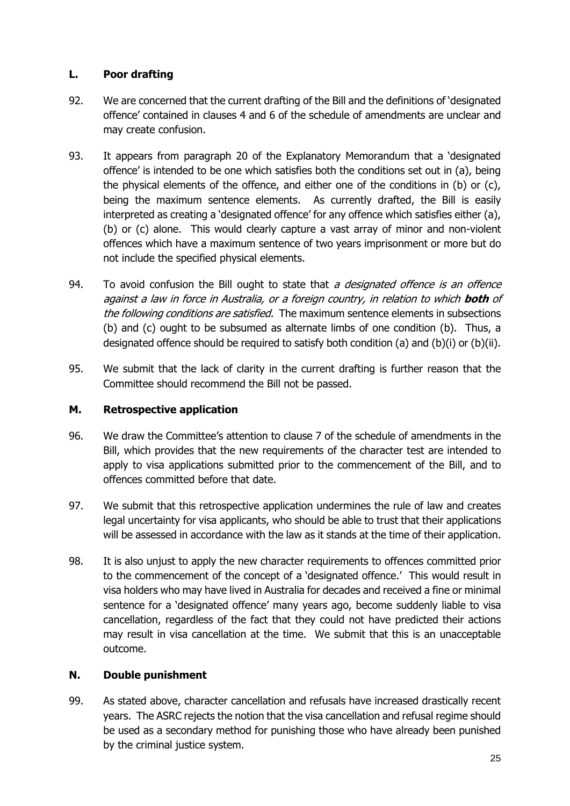### **L. Poor drafting**

- 92. We are concerned that the current drafting of the Bill and the definitions of 'designated offence' contained in clauses 4 and 6 of the schedule of amendments are unclear and may create confusion.
- 93. It appears from paragraph 20 of the Explanatory Memorandum that a 'designated offence' is intended to be one which satisfies both the conditions set out in (a), being the physical elements of the offence, and either one of the conditions in (b) or (c), being the maximum sentence elements. As currently drafted, the Bill is easily interpreted as creating a 'designated offence' for any offence which satisfies either (a), (b) or (c) alone. This would clearly capture a vast array of minor and non-violent offences which have a maximum sentence of two years imprisonment or more but do not include the specified physical elements.
- 94. To avoid confusion the Bill ought to state that a designated offence is an offence against a law in force in Australia, or a foreign country, in relation to which **both** of the following conditions are satisfied. The maximum sentence elements in subsections (b) and (c) ought to be subsumed as alternate limbs of one condition (b). Thus, a designated offence should be required to satisfy both condition (a) and (b)(i) or (b)(ii).
- 95. We submit that the lack of clarity in the current drafting is further reason that the Committee should recommend the Bill not be passed.

### **M. Retrospective application**

- 96. We draw the Committee's attention to clause 7 of the schedule of amendments in the Bill, which provides that the new requirements of the character test are intended to apply to visa applications submitted prior to the commencement of the Bill, and to offences committed before that date.
- 97. We submit that this retrospective application undermines the rule of law and creates legal uncertainty for visa applicants, who should be able to trust that their applications will be assessed in accordance with the law as it stands at the time of their application.
- 98. It is also unjust to apply the new character requirements to offences committed prior to the commencement of the concept of a 'designated offence.' This would result in visa holders who may have lived in Australia for decades and received a fine or minimal sentence for a 'designated offence' many years ago, become suddenly liable to visa cancellation, regardless of the fact that they could not have predicted their actions may result in visa cancellation at the time. We submit that this is an unacceptable outcome.

# **N. Double punishment**

99. As stated above, character cancellation and refusals have increased drastically recent years. The ASRC rejects the notion that the visa cancellation and refusal regime should be used as a secondary method for punishing those who have already been punished by the criminal justice system.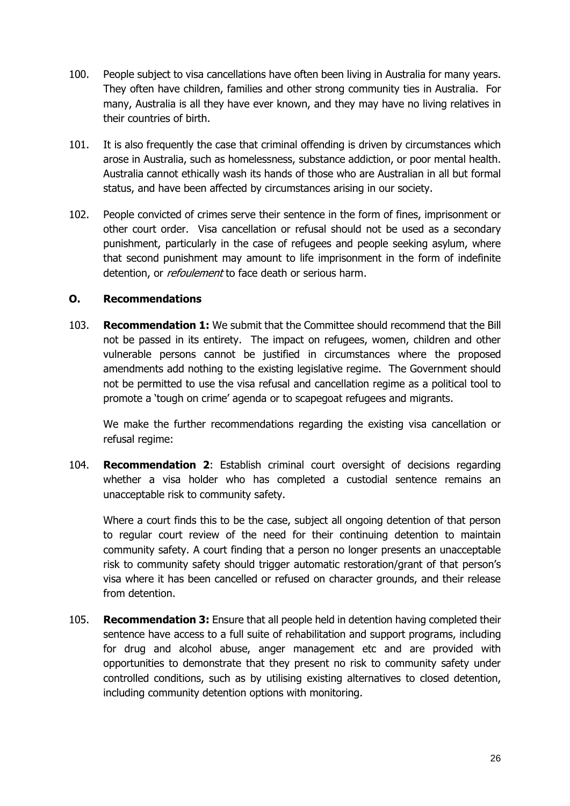- 100. People subject to visa cancellations have often been living in Australia for many years. They often have children, families and other strong community ties in Australia. For many, Australia is all they have ever known, and they may have no living relatives in their countries of birth.
- 101. It is also frequently the case that criminal offending is driven by circumstances which arose in Australia, such as homelessness, substance addiction, or poor mental health. Australia cannot ethically wash its hands of those who are Australian in all but formal status, and have been affected by circumstances arising in our society.
- 102. People convicted of crimes serve their sentence in the form of fines, imprisonment or other court order. Visa cancellation or refusal should not be used as a secondary punishment, particularly in the case of refugees and people seeking asylum, where that second punishment may amount to life imprisonment in the form of indefinite detention, or *refoulement* to face death or serious harm.

### **O. Recommendations**

103. **Recommendation 1:** We submit that the Committee should recommend that the Bill not be passed in its entirety. The impact on refugees, women, children and other vulnerable persons cannot be justified in circumstances where the proposed amendments add nothing to the existing legislative regime. The Government should not be permitted to use the visa refusal and cancellation regime as a political tool to promote a 'tough on crime' agenda or to scapegoat refugees and migrants.

We make the further recommendations regarding the existing visa cancellation or refusal regime:

104. **Recommendation 2**: Establish criminal court oversight of decisions regarding whether a visa holder who has completed a custodial sentence remains an unacceptable risk to community safety.

Where a court finds this to be the case, subject all ongoing detention of that person to regular court review of the need for their continuing detention to maintain community safety. A court finding that a person no longer presents an unacceptable risk to community safety should trigger automatic restoration/grant of that person's visa where it has been cancelled or refused on character grounds, and their release from detention.

105. **Recommendation 3:** Ensure that all people held in detention having completed their sentence have access to a full suite of rehabilitation and support programs, including for drug and alcohol abuse, anger management etc and are provided with opportunities to demonstrate that they present no risk to community safety under controlled conditions, such as by utilising existing alternatives to closed detention, including community detention options with monitoring.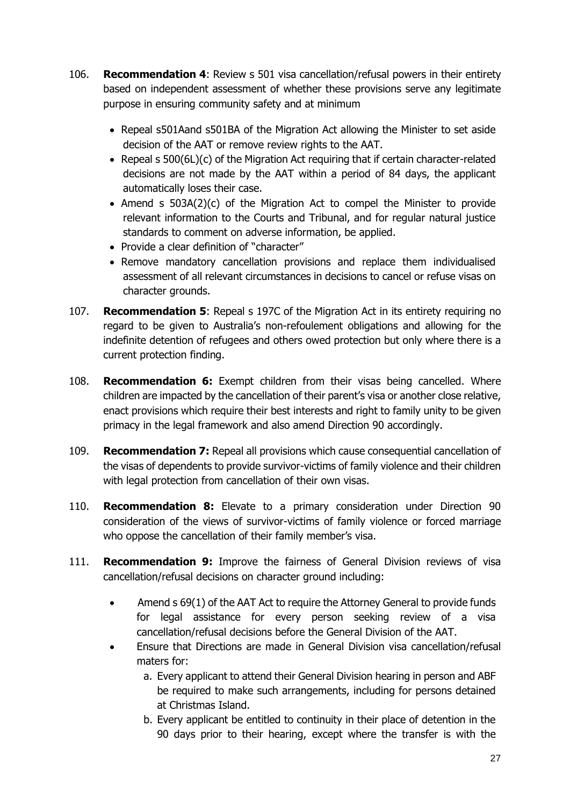- 106. **Recommendation 4**: Review s 501 visa cancellation/refusal powers in their entirety based on independent assessment of whether these provisions serve any legitimate purpose in ensuring community safety and at minimum
	- Repeal s501Aand s501BA of the Migration Act allowing the Minister to set aside decision of the AAT or remove review rights to the AAT.
	- Repeal s 500(6L)(c) of the Migration Act requiring that if certain character-related decisions are not made by the AAT within a period of 84 days, the applicant automatically loses their case.
	- Amend s 503A(2)(c) of the Migration Act to compel the Minister to provide relevant information to the Courts and Tribunal, and for regular natural justice standards to comment on adverse information, be applied.
	- Provide a clear definition of "character"
	- Remove mandatory cancellation provisions and replace them individualised assessment of all relevant circumstances in decisions to cancel or refuse visas on character grounds.
- 107. **Recommendation 5**: Repeal s 197C of the Migration Act in its entirety requiring no regard to be given to Australia's non-refoulement obligations and allowing for the indefinite detention of refugees and others owed protection but only where there is a current protection finding.
- 108. **Recommendation 6:** Exempt children from their visas being cancelled. Where children are impacted by the cancellation of their parent's visa or another close relative, enact provisions which require their best interests and right to family unity to be given primacy in the legal framework and also amend Direction 90 accordingly.
- 109. **Recommendation 7:** Repeal all provisions which cause consequential cancellation of the visas of dependents to provide survivor-victims of family violence and their children with legal protection from cancellation of their own visas.
- 110. **Recommendation 8:** Elevate to a primary consideration under Direction 90 consideration of the views of survivor-victims of family violence or forced marriage who oppose the cancellation of their family member's visa.
- 111. **Recommendation 9:** Improve the fairness of General Division reviews of visa cancellation/refusal decisions on character ground including:
	- Amend s 69(1) of the AAT Act to require the Attorney General to provide funds for legal assistance for every person seeking review of a visa cancellation/refusal decisions before the General Division of the AAT.
	- Ensure that Directions are made in General Division visa cancellation/refusal maters for:
		- a. Every applicant to attend their General Division hearing in person and ABF be required to make such arrangements, including for persons detained at Christmas Island.
		- b. Every applicant be entitled to continuity in their place of detention in the 90 days prior to their hearing, except where the transfer is with the